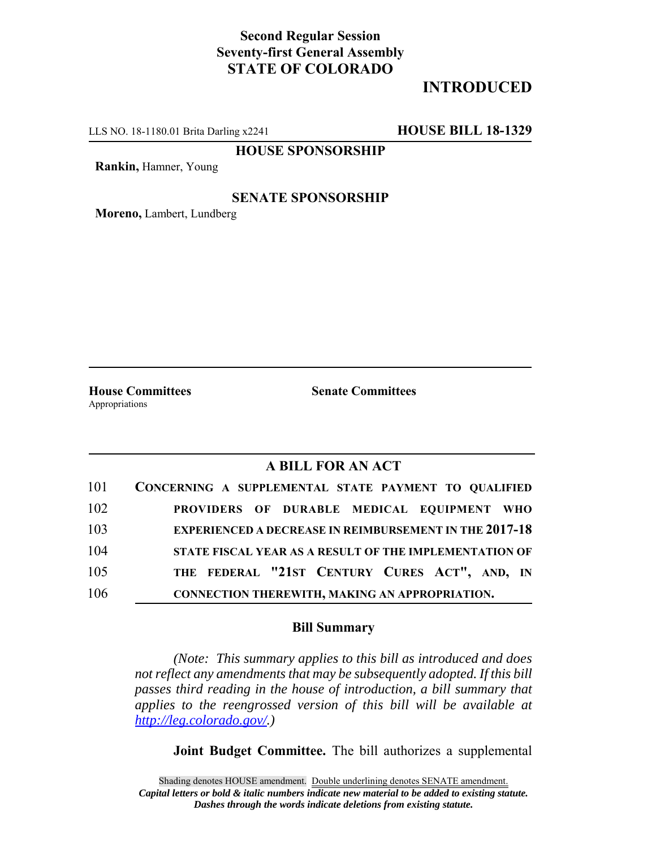## **Second Regular Session Seventy-first General Assembly STATE OF COLORADO**

# **INTRODUCED**

LLS NO. 18-1180.01 Brita Darling x2241 **HOUSE BILL 18-1329**

**HOUSE SPONSORSHIP**

**Rankin,** Hamner, Young

### **SENATE SPONSORSHIP**

**Moreno,** Lambert, Lundberg

**House Committees Senate Committees** Appropriations

### **A BILL FOR AN ACT**

| 101 | CONCERNING A SUPPLEMENTAL STATE PAYMENT TO QUALIFIED          |
|-----|---------------------------------------------------------------|
| 102 | PROVIDERS OF DURABLE MEDICAL EQUIPMENT WHO                    |
| 103 | <b>EXPERIENCED A DECREASE IN REIMBURSEMENT IN THE 2017-18</b> |
| 104 | STATE FISCAL YEAR AS A RESULT OF THE IMPLEMENTATION OF        |
| 105 | THE FEDERAL "21ST CENTURY CURES ACT", AND, IN                 |
| 106 | CONNECTION THEREWITH, MAKING AN APPROPRIATION.                |

#### **Bill Summary**

*(Note: This summary applies to this bill as introduced and does not reflect any amendments that may be subsequently adopted. If this bill passes third reading in the house of introduction, a bill summary that applies to the reengrossed version of this bill will be available at http://leg.colorado.gov/.)*

**Joint Budget Committee.** The bill authorizes a supplemental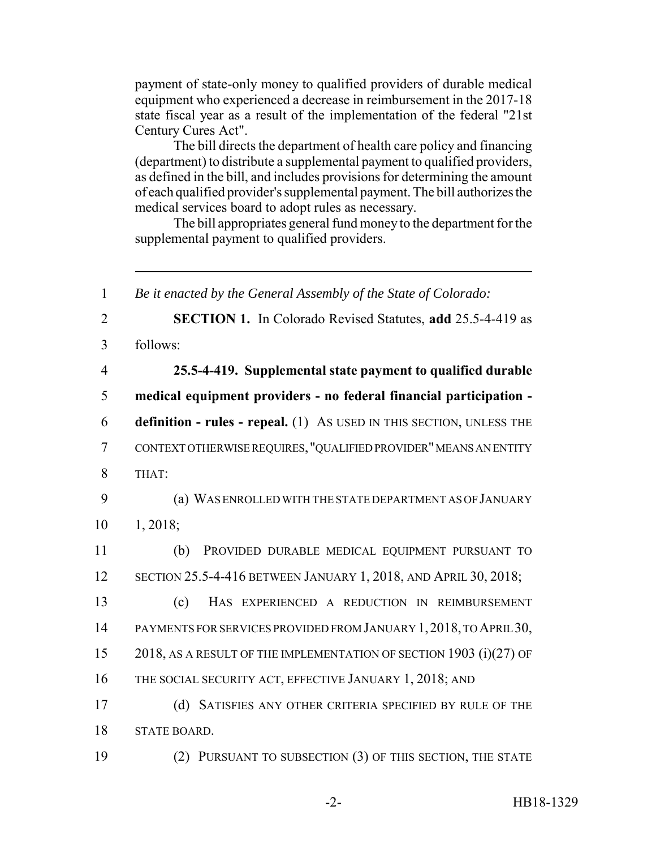payment of state-only money to qualified providers of durable medical equipment who experienced a decrease in reimbursement in the 2017-18 state fiscal year as a result of the implementation of the federal "21st Century Cures Act".

The bill directs the department of health care policy and financing (department) to distribute a supplemental payment to qualified providers, as defined in the bill, and includes provisions for determining the amount of each qualified provider's supplemental payment. The bill authorizes the medical services board to adopt rules as necessary.

The bill appropriates general fund money to the department for the supplemental payment to qualified providers.

 *Be it enacted by the General Assembly of the State of Colorado:* **SECTION 1.** In Colorado Revised Statutes, **add** 25.5-4-419 as 3 follows: **25.5-4-419. Supplemental state payment to qualified durable medical equipment providers - no federal financial participation - definition - rules - repeal.** (1) AS USED IN THIS SECTION, UNLESS THE CONTEXT OTHERWISE REQUIRES, "QUALIFIED PROVIDER" MEANS AN ENTITY 8 THAT: (a) WAS ENROLLED WITH THE STATE DEPARTMENT AS OF JANUARY 10 1, 2018; (b) PROVIDED DURABLE MEDICAL EQUIPMENT PURSUANT TO SECTION 25.5-4-416 BETWEEN JANUARY 1, 2018, AND APRIL 30, 2018; (c) HAS EXPERIENCED A REDUCTION IN REIMBURSEMENT PAYMENTS FOR SERVICES PROVIDED FROM JANUARY 1,2018, TO APRIL 30, 15 2018, AS A RESULT OF THE IMPLEMENTATION OF SECTION 1903 (i)(27) OF THE SOCIAL SECURITY ACT, EFFECTIVE JANUARY 1, 2018; AND (d) SATISFIES ANY OTHER CRITERIA SPECIFIED BY RULE OF THE STATE BOARD. (2) PURSUANT TO SUBSECTION (3) OF THIS SECTION, THE STATE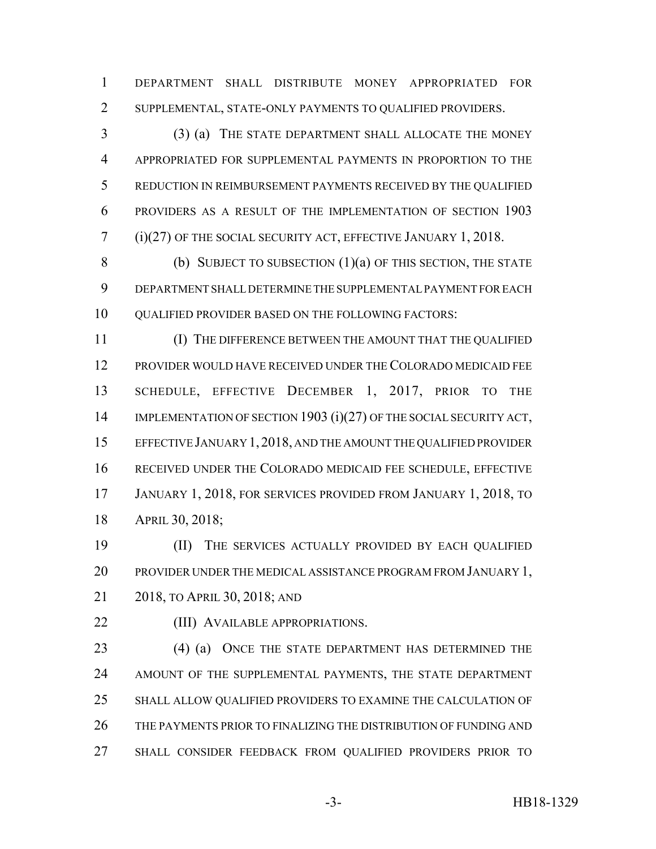DEPARTMENT SHALL DISTRIBUTE MONEY APPROPRIATED FOR SUPPLEMENTAL, STATE-ONLY PAYMENTS TO QUALIFIED PROVIDERS.

 (3) (a) THE STATE DEPARTMENT SHALL ALLOCATE THE MONEY APPROPRIATED FOR SUPPLEMENTAL PAYMENTS IN PROPORTION TO THE REDUCTION IN REIMBURSEMENT PAYMENTS RECEIVED BY THE QUALIFIED PROVIDERS AS A RESULT OF THE IMPLEMENTATION OF SECTION 1903 (i)(27) OF THE SOCIAL SECURITY ACT, EFFECTIVE JANUARY 1, 2018.

8 (b) SUBJECT TO SUBSECTION (1)(a) OF THIS SECTION, THE STATE DEPARTMENT SHALL DETERMINE THE SUPPLEMENTAL PAYMENT FOR EACH 10 OUALIFIED PROVIDER BASED ON THE FOLLOWING FACTORS:

 (I) THE DIFFERENCE BETWEEN THE AMOUNT THAT THE QUALIFIED PROVIDER WOULD HAVE RECEIVED UNDER THE COLORADO MEDICAID FEE SCHEDULE, EFFECTIVE DECEMBER 1, 2017, PRIOR TO THE 14 IMPLEMENTATION OF SECTION 1903 (i)(27) OF THE SOCIAL SECURITY ACT, EFFECTIVE JANUARY 1,2018, AND THE AMOUNT THE QUALIFIED PROVIDER RECEIVED UNDER THE COLORADO MEDICAID FEE SCHEDULE, EFFECTIVE JANUARY 1, 2018, FOR SERVICES PROVIDED FROM JANUARY 1, 2018, TO APRIL 30, 2018;

 (II) THE SERVICES ACTUALLY PROVIDED BY EACH QUALIFIED PROVIDER UNDER THE MEDICAL ASSISTANCE PROGRAM FROM JANUARY 1, 2018, TO APRIL 30, 2018; AND

**(III) AVAILABLE APPROPRIATIONS.** 

23 (4) (a) ONCE THE STATE DEPARTMENT HAS DETERMINED THE AMOUNT OF THE SUPPLEMENTAL PAYMENTS, THE STATE DEPARTMENT SHALL ALLOW QUALIFIED PROVIDERS TO EXAMINE THE CALCULATION OF THE PAYMENTS PRIOR TO FINALIZING THE DISTRIBUTION OF FUNDING AND SHALL CONSIDER FEEDBACK FROM QUALIFIED PROVIDERS PRIOR TO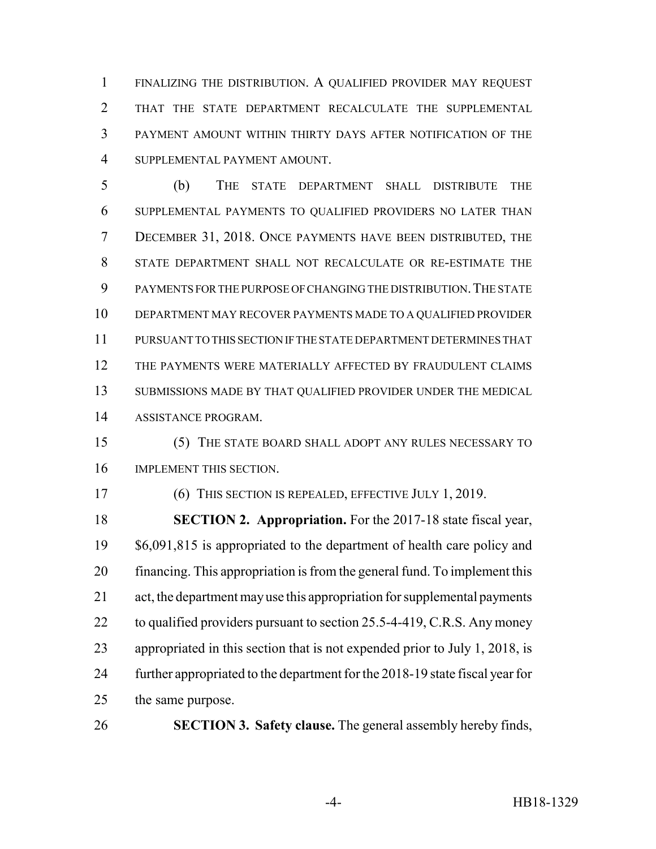FINALIZING THE DISTRIBUTION. A QUALIFIED PROVIDER MAY REQUEST THAT THE STATE DEPARTMENT RECALCULATE THE SUPPLEMENTAL PAYMENT AMOUNT WITHIN THIRTY DAYS AFTER NOTIFICATION OF THE SUPPLEMENTAL PAYMENT AMOUNT.

 (b) THE STATE DEPARTMENT SHALL DISTRIBUTE THE SUPPLEMENTAL PAYMENTS TO QUALIFIED PROVIDERS NO LATER THAN DECEMBER 31, 2018. ONCE PAYMENTS HAVE BEEN DISTRIBUTED, THE STATE DEPARTMENT SHALL NOT RECALCULATE OR RE-ESTIMATE THE PAYMENTS FOR THE PURPOSE OF CHANGING THE DISTRIBUTION.THE STATE DEPARTMENT MAY RECOVER PAYMENTS MADE TO A QUALIFIED PROVIDER PURSUANT TO THIS SECTION IF THE STATE DEPARTMENT DETERMINES THAT THE PAYMENTS WERE MATERIALLY AFFECTED BY FRAUDULENT CLAIMS SUBMISSIONS MADE BY THAT QUALIFIED PROVIDER UNDER THE MEDICAL ASSISTANCE PROGRAM.

 (5) THE STATE BOARD SHALL ADOPT ANY RULES NECESSARY TO IMPLEMENT THIS SECTION.

(6) THIS SECTION IS REPEALED, EFFECTIVE JULY 1, 2019.

 **SECTION 2. Appropriation.** For the 2017-18 state fiscal year, \$6,091,815 is appropriated to the department of health care policy and financing. This appropriation is from the general fund. To implement this act, the department may use this appropriation for supplemental payments 22 to qualified providers pursuant to section 25.5-4-419, C.R.S. Any money appropriated in this section that is not expended prior to July 1, 2018, is further appropriated to the department for the 2018-19 state fiscal year for the same purpose.

**SECTION 3. Safety clause.** The general assembly hereby finds,